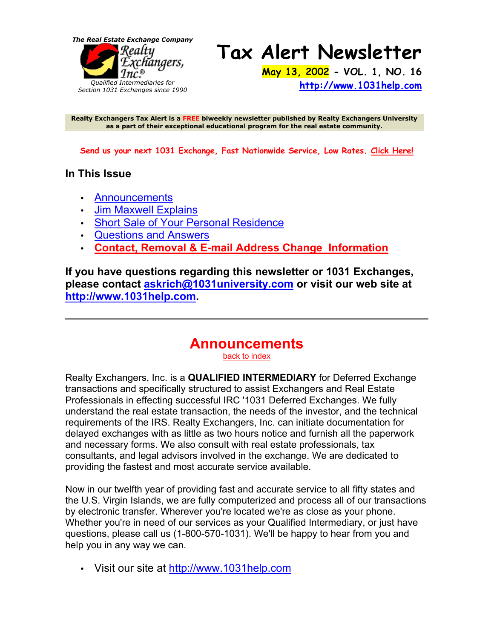*The Real Estate Exchange Company*



**Tax Alert Newsletter May 13, 2002 - VOL. 1, NO. 16** 

**http://www.1031help.com**

**Realty Exchangers Tax Alert is a FREE biweekly newsletter published by Realty Exchangers University as a part of their exceptional educational program for the real estate community.**

**Send us your next 1031 Exchange, Fast Nationwide Service, Low Rates. Click Here!**

#### **In This Issue**

- Announcements
- Jim Maxwell Explains
- Short Sale of Your Personal Residence
- Questions and Answers
- **Contact, Removal & E-mail Address Change Information**

**If you have questions regarding this newsletter or 1031 Exchanges, please contact askrich@1031university.com or visit our web site at http://www.1031help.com.**

# **Announcements**

back to index

Realty Exchangers, Inc. is a **QUALIFIED INTERMEDIARY** for Deferred Exchange transactions and specifically structured to assist Exchangers and Real Estate Professionals in effecting successful IRC '1031 Deferred Exchanges. We fully understand the real estate transaction, the needs of the investor, and the technical requirements of the IRS. Realty Exchangers, Inc. can initiate documentation for delayed exchanges with as little as two hours notice and furnish all the paperwork and necessary forms. We also consult with real estate professionals, tax consultants, and legal advisors involved in the exchange. We are dedicated to providing the fastest and most accurate service available.

Now in our twelfth year of providing fast and accurate service to all fifty states and the U.S. Virgin Islands, we are fully computerized and process all of our transactions by electronic transfer. Wherever you're located we're as close as your phone. Whether you're in need of our services as your Qualified Intermediary, or just have questions, please call us (1-800-570-1031). We'll be happy to hear from you and help you in any way we can.

• Visit our site at http://www.1031help.com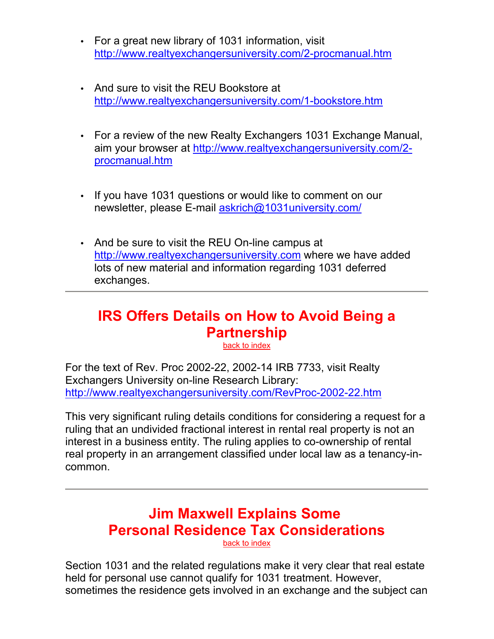- For a great new library of 1031 information, visit http://www.realtyexchangersuniversity.com/2-procmanual.htm
- And sure to visit the REU Bookstore at http://www.realtyexchangersuniversity.com/1-bookstore.htm
- For a review of the new Realty Exchangers 1031 Exchange Manual, aim your browser at http://www.realtyexchangersuniversity.com/2 procmanual.htm
- If you have 1031 questions or would like to comment on our newsletter, please E-mail askrich@1031university.com/
- And be sure to visit the REU On-line campus at http://www.realtyexchangersuniversity.com where we have added lots of new material and information regarding 1031 deferred exchanges.

# **IRS Offers Details on How to Avoid Being a Partnership**

back to index

For the text of Rev. Proc 2002-22, 2002-14 IRB 7733, visit Realty Exchangers University on-line Research Library: http://www.realtyexchangersuniversity.com/RevProc-2002-22.htm

This very significant ruling details conditions for considering a request for a ruling that an undivided fractional interest in rental real property is not an interest in a business entity. The ruling applies to co-ownership of rental real property in an arrangement classified under local law as a tenancy-incommon.

## **Jim Maxwell Explains Some Personal Residence Tax Considerations** back to index

Section 1031 and the related regulations make it very clear that real estate held for personal use cannot qualify for 1031 treatment. However, sometimes the residence gets involved in an exchange and the subject can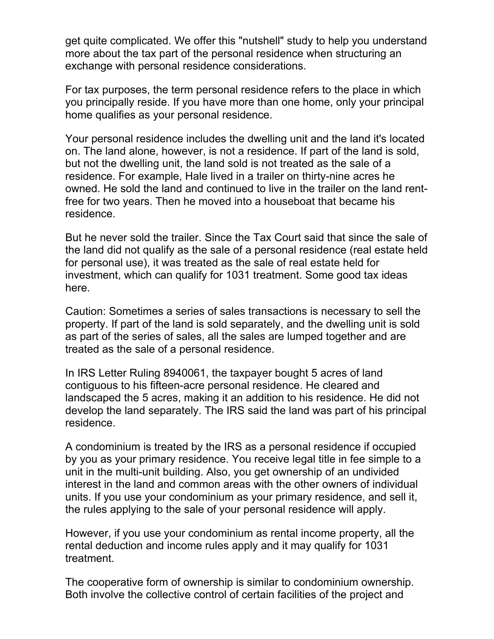get quite complicated. We offer this "nutshell" study to help you understand more about the tax part of the personal residence when structuring an exchange with personal residence considerations.

For tax purposes, the term personal residence refers to the place in which you principally reside. If you have more than one home, only your principal home qualifies as your personal residence.

Your personal residence includes the dwelling unit and the land it's located on. The land alone, however, is not a residence. If part of the land is sold, but not the dwelling unit, the land sold is not treated as the sale of a residence. For example, Hale lived in a trailer on thirty-nine acres he owned. He sold the land and continued to live in the trailer on the land rentfree for two years. Then he moved into a houseboat that became his residence.

But he never sold the trailer. Since the Tax Court said that since the sale of the land did not qualify as the sale of a personal residence (real estate held for personal use), it was treated as the sale of real estate held for investment, which can qualify for 1031 treatment. Some good tax ideas here.

Caution: Sometimes a series of sales transactions is necessary to sell the property. If part of the land is sold separately, and the dwelling unit is sold as part of the series of sales, all the sales are lumped together and are treated as the sale of a personal residence.

In IRS Letter Ruling 8940061, the taxpayer bought 5 acres of land contiguous to his fifteen-acre personal residence. He cleared and landscaped the 5 acres, making it an addition to his residence. He did not develop the land separately. The IRS said the land was part of his principal residence.

A condominium is treated by the IRS as a personal residence if occupied by you as your primary residence. You receive legal title in fee simple to a unit in the multi-unit building. Also, you get ownership of an undivided interest in the land and common areas with the other owners of individual units. If you use your condominium as your primary residence, and sell it, the rules applying to the sale of your personal residence will apply.

However, if you use your condominium as rental income property, all the rental deduction and income rules apply and it may qualify for 1031 treatment.

The cooperative form of ownership is similar to condominium ownership. Both involve the collective control of certain facilities of the project and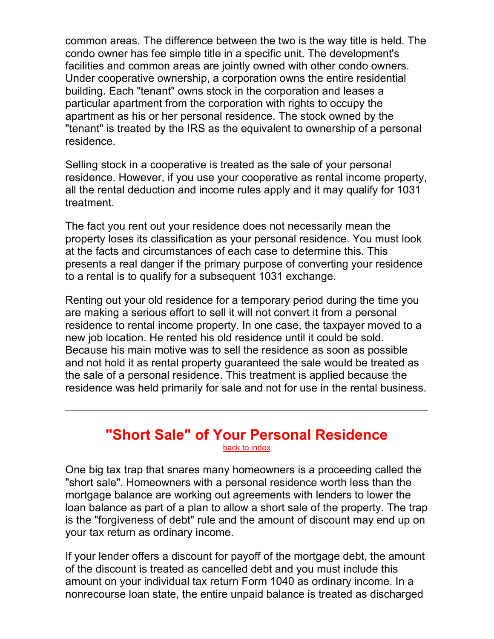common areas. The difference between the two is the way title is held. The condo owner has fee simple title in a specific unit. The development's facilities and common areas are jointly owned with other condo owners. Under cooperative ownership, a corporation owns the entire residential building. Each "tenant" owns stock in the corporation and leases a particular apartment from the corporation with rights to occupy the apartment as his or her personal residence. The stock owned by the "tenant" is treated by the IRS as the equivalent to ownership of a personal residence.

Selling stock in a cooperative is treated as the sale of your personal residence. However, if you use your cooperative as rental income property, all the rental deduction and income rules apply and it may qualify for 1031 treatment.

The fact you rent out your residence does not necessarily mean the property loses its classification as your personal residence. You must look at the facts and circumstances of each case to determine this. This presents a real danger if the primary purpose of converting your residence to a rental is to qualify for a subsequent 1031 exchange.

Renting out your old residence for a temporary period during the time you are making a serious effort to sell it will not convert it from a personal residence to rental income property. In one case, the taxpayer moved to a new job location. He rented his old residence until it could be sold. Because his main motive was to sell the residence as soon as possible and not hold it as rental property guaranteed the sale would be treated as the sale of a personal residence. This treatment is applied because the residence was held primarily for sale and not for use in the rental business.

#### **"Short Sale" of Your Personal Residence** back to index

One big tax trap that snares many homeowners is a proceeding called the "short sale". Homeowners with a personal residence worth less than the mortgage balance are working out agreements with lenders to lower the loan balance as part of a plan to allow a short sale of the property. The trap is the "forgiveness of debt" rule and the amount of discount may end up on your tax return as ordinary income.

If your lender offers a discount for payoff of the mortgage debt, the amount of the discount is treated as cancelled debt and you must include this amount on your individual tax return Form 1040 as ordinary income. In a nonrecourse loan state, the entire unpaid balance is treated as discharged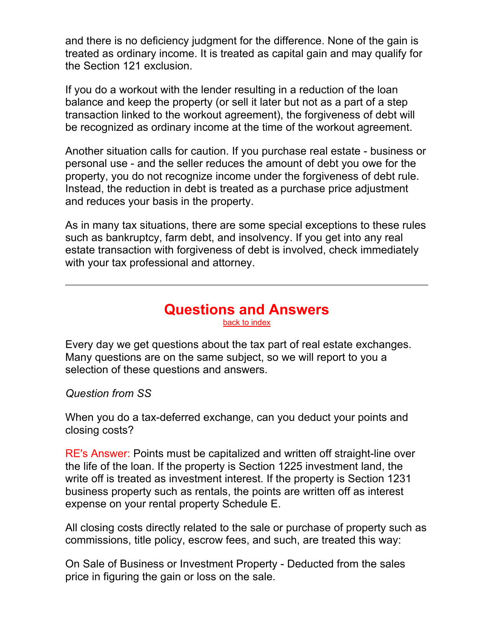and there is no deficiency judgment for the difference. None of the gain is treated as ordinary income. It is treated as capital gain and may qualify for the Section 121 exclusion.

If you do a workout with the lender resulting in a reduction of the loan balance and keep the property (or sell it later but not as a part of a step transaction linked to the workout agreement), the forgiveness of debt will be recognized as ordinary income at the time of the workout agreement.

Another situation calls for caution. If you purchase real estate - business or personal use - and the seller reduces the amount of debt you owe for the property, you do not recognize income under the forgiveness of debt rule. Instead, the reduction in debt is treated as a purchase price adjustment and reduces your basis in the property.

As in many tax situations, there are some special exceptions to these rules such as bankruptcy, farm debt, and insolvency. If you get into any real estate transaction with forgiveness of debt is involved, check immediately with your tax professional and attorney.

#### **Questions and Answers**  back to index

Every day we get questions about the tax part of real estate exchanges. Many questions are on the same subject, so we will report to you a selection of these questions and answers.

*Question from SS*

When you do a tax-deferred exchange, can you deduct your points and closing costs?

RE's Answer: Points must be capitalized and written off straight-line over the life of the loan. If the property is Section 1225 investment land, the write off is treated as investment interest. If the property is Section 1231 business property such as rentals, the points are written off as interest expense on your rental property Schedule E.

All closing costs directly related to the sale or purchase of property such as commissions, title policy, escrow fees, and such, are treated this way:

On Sale of Business or Investment Property - Deducted from the sales price in figuring the gain or loss on the sale.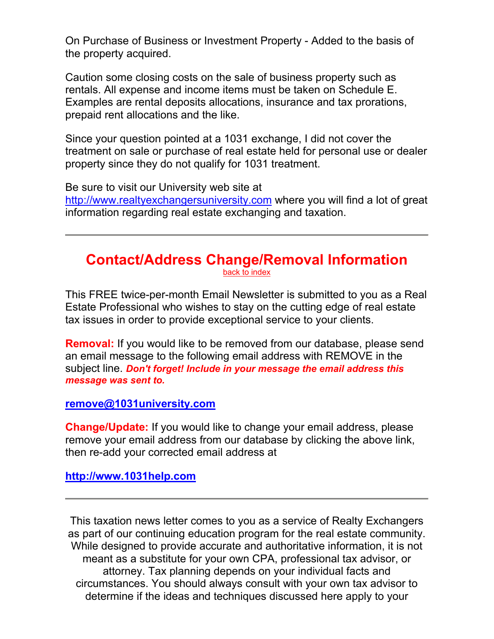On Purchase of Business or Investment Property - Added to the basis of the property acquired.

Caution some closing costs on the sale of business property such as rentals. All expense and income items must be taken on Schedule E. Examples are rental deposits allocations, insurance and tax prorations, prepaid rent allocations and the like.

Since your question pointed at a 1031 exchange, I did not cover the treatment on sale or purchase of real estate held for personal use or dealer property since they do not qualify for 1031 treatment.

Be sure to visit our University web site at http://www.realtyexchangersuniversity.com where you will find a lot of great information regarding real estate exchanging and taxation.

# **Contact/Address Change/Removal Information**

back to index

This FREE twice-per-month Email Newsletter is submitted to you as a Real Estate Professional who wishes to stay on the cutting edge of real estate tax issues in order to provide exceptional service to your clients.

**Removal:** If you would like to be removed from our database, please send an email message to the following email address with REMOVE in the subject line. *Don't forget! Include in your message the email address this message was sent to.*

**remove@1031university.com**

**Change/Update:** If you would like to change your email address, please remove your email address from our database by clicking the above link, then re-add your corrected email address at

**http://www.1031help.com**

This taxation news letter comes to you as a service of Realty Exchangers as part of our continuing education program for the real estate community. While designed to provide accurate and authoritative information, it is not meant as a substitute for your own CPA, professional tax advisor, or attorney. Tax planning depends on your individual facts and circumstances. You should always consult with your own tax advisor to determine if the ideas and techniques discussed here apply to your